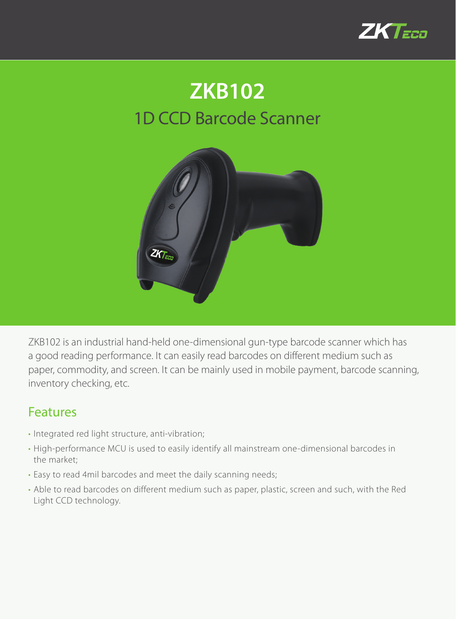

## 1D CCD Barcode Scanner **ZKB102**



ZKB102 is an industrial hand-held one-dimensional gun-type barcode scanner which has a good reading performance. It can easily read barcodes on different medium such as paper, commodity, and screen. It can be mainly used in mobile payment, barcode scanning, inventory checking, etc.

## Features

- Integrated red light structure, anti-vibration;
- High-performance MCU is used to easily identify all mainstream one-dimensional barcodes in the market;
- Easy to read 4mil barcodes and meet the daily scanning needs;
- Able to read barcodes on different medium such as paper, plastic, screen and such, with the Red Light CCD technology.